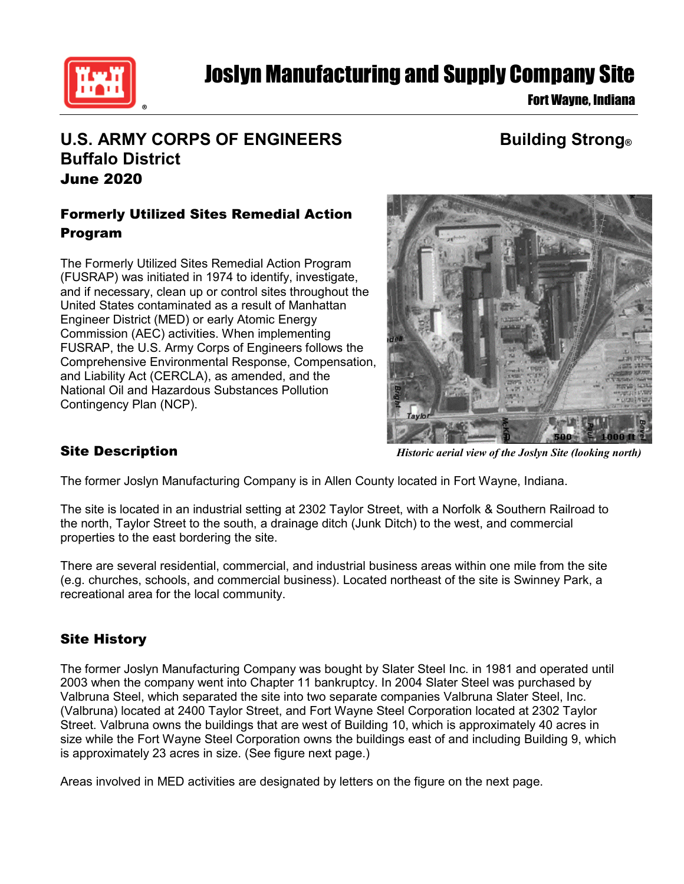

# Joslyn Manufacturing and Supply Company Site

Fort Wayne, Indiana

## **U.S. ARMY CORPS OF ENGINEERS Building Strong® Buffalo District** June 2020

### Formerly Utilized Sites Remedial Action Program

The Formerly Utilized Sites Remedial Action Program (FUSRAP) was initiated in 1974 to identify, investigate, and if necessary, clean up or control sites throughout the United States contaminated as a result of Manhattan Engineer District (MED) or early Atomic Energy Commission (AEC) activities. When implementing FUSRAP, the U.S. Army Corps of Engineers follows the Comprehensive Environmental Response, Compensation, and Liability Act (CERCLA), as amended, and the National Oil and Hazardous Substances Pollution Contingency Plan (NCP).



*Historic aerial view of the Joslyn Site (looking north)*

#### Site Description

The former Joslyn Manufacturing Company is in Allen County located in Fort Wayne, Indiana.

The site is located in an industrial setting at 2302 Taylor Street, with a Norfolk & Southern Railroad to the north, Taylor Street to the south, a drainage ditch (Junk Ditch) to the west, and commercial properties to the east bordering the site.

There are several residential, commercial, and industrial business areas within one mile from the site (e.g. churches, schools, and commercial business). Located northeast of the site is Swinney Park, a recreational area for the local community.

#### Site History

The former Joslyn Manufacturing Company was bought by Slater Steel Inc. in 1981 and operated until 2003 when the company went into Chapter 11 bankruptcy. In 2004 Slater Steel was purchased by Valbruna Steel, which separated the site into two separate companies Valbruna Slater Steel, Inc. (Valbruna) located at 2400 Taylor Street, and Fort Wayne Steel Corporation located at 2302 Taylor Street. Valbruna owns the buildings that are west of Building 10, which is approximately 40 acres in size while the Fort Wayne Steel Corporation owns the buildings east of and including Building 9, which is approximately 23 acres in size. (See figure next page.)

Areas involved in MED activities are designated by letters on the figure on the next page.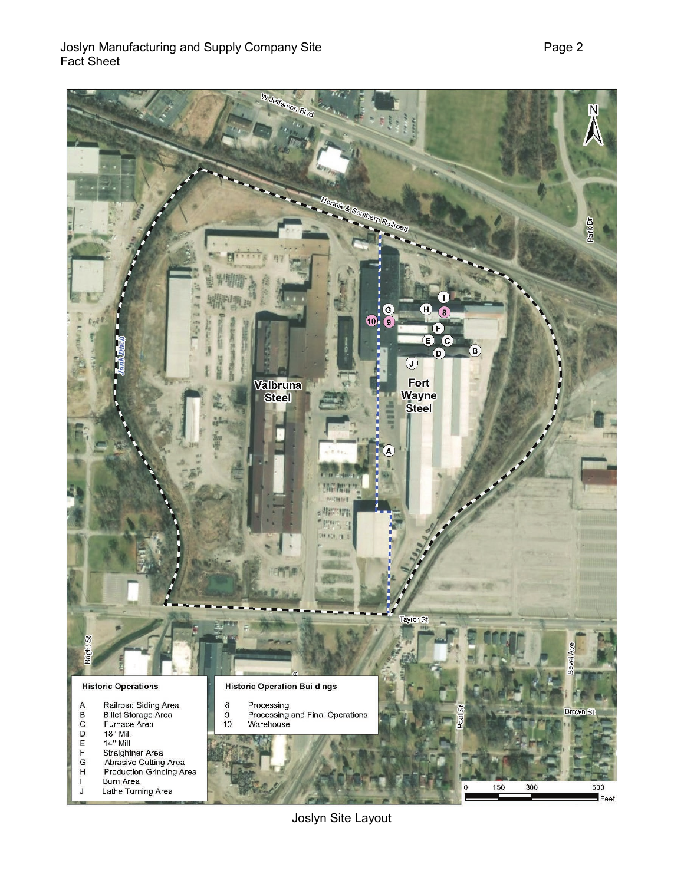

Joslyn Site Layout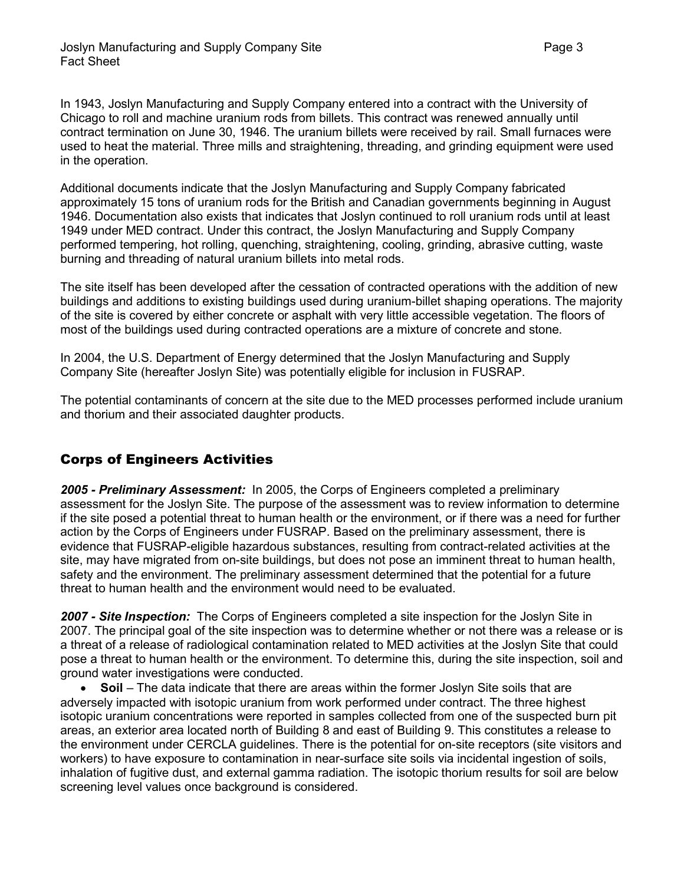In 1943, Joslyn Manufacturing and Supply Company entered into a contract with the University of Chicago to roll and machine uranium rods from billets. This contract was renewed annually until contract termination on June 30, 1946. The uranium billets were received by rail. Small furnaces were used to heat the material. Three mills and straightening, threading, and grinding equipment were used in the operation.

Additional documents indicate that the Joslyn Manufacturing and Supply Company fabricated approximately 15 tons of uranium rods for the British and Canadian governments beginning in August 1946. Documentation also exists that indicates that Joslyn continued to roll uranium rods until at least 1949 under MED contract. Under this contract, the Joslyn Manufacturing and Supply Company performed tempering, hot rolling, quenching, straightening, cooling, grinding, abrasive cutting, waste burning and threading of natural uranium billets into metal rods.

The site itself has been developed after the cessation of contracted operations with the addition of new buildings and additions to existing buildings used during uranium-billet shaping operations. The majority of the site is covered by either concrete or asphalt with very little accessible vegetation. The floors of most of the buildings used during contracted operations are a mixture of concrete and stone.

In 2004, the U.S. Department of Energy determined that the Joslyn Manufacturing and Supply Company Site (hereafter Joslyn Site) was potentially eligible for inclusion in FUSRAP.

The potential contaminants of concern at the site due to the MED processes performed include uranium and thorium and their associated daughter products.

#### Corps of Engineers Activities

*2005 - Preliminary Assessment:* In 2005, the Corps of Engineers completed a preliminary assessment for the Joslyn Site. The purpose of the assessment was to review information to determine if the site posed a potential threat to human health or the environment, or if there was a need for further action by the Corps of Engineers under FUSRAP. Based on the preliminary assessment, there is evidence that FUSRAP-eligible hazardous substances, resulting from contract-related activities at the site, may have migrated from on-site buildings, but does not pose an imminent threat to human health, safety and the environment. The preliminary assessment determined that the potential for a future threat to human health and the environment would need to be evaluated.

*2007 - Site Inspection:* The Corps of Engineers completed a site inspection for the Joslyn Site in 2007. The principal goal of the site inspection was to determine whether or not there was a release or is a threat of a release of radiological contamination related to MED activities at the Joslyn Site that could pose a threat to human health or the environment. To determine this, during the site inspection, soil and ground water investigations were conducted.

• **Soil** – The data indicate that there are areas within the former Joslyn Site soils that are adversely impacted with isotopic uranium from work performed under contract. The three highest isotopic uranium concentrations were reported in samples collected from one of the suspected burn pit areas, an exterior area located north of Building 8 and east of Building 9. This constitutes a release to the environment under CERCLA guidelines. There is the potential for on-site receptors (site visitors and workers) to have exposure to contamination in near-surface site soils via incidental ingestion of soils, inhalation of fugitive dust, and external gamma radiation. The isotopic thorium results for soil are below screening level values once background is considered.